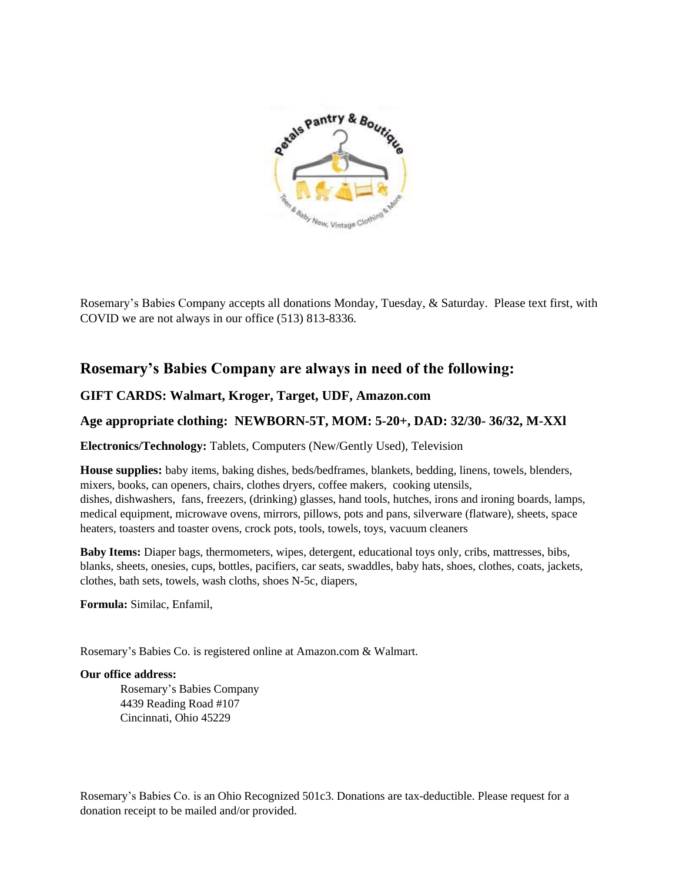

Rosemary's Babies Company accepts all donations Monday, Tuesday, & Saturday. Please text first, with COVID we are not always in our office (513) 813-8336.

## **Rosemary's Babies Company are always in need of the following:**

## **GIFT CARDS: Walmart, Kroger, Target, UDF, Amazon.com**

## **Age appropriate clothing: NEWBORN-5T, MOM: 5-20+, DAD: 32/30- 36/32, M-XXl**

**Electronics/Technology:** Tablets, Computers (New/Gently Used), Television

**House supplies:** baby items, baking dishes, beds/bedframes, blankets, bedding, linens, towels, blenders, mixers, books, can openers, [chairs,](https://en.wikipedia.org/wiki/Chair) [clothes dryers,](https://en.wikipedia.org/wiki/Clothes_dryer) [coffee makers,](https://en.wikipedia.org/wiki/Coffee_maker) [cooking utensils,](https://en.wikipedia.org/wiki/Cooking_utensil) dishes, [dishwashers,](https://en.wikipedia.org/wiki/Dishwasher) [fans,](https://en.wikipedia.org/wiki/Fan_(mechanical)) [freezers,](https://en.wikipedia.org/wiki/Freezer) [\(drinking\)](https://en.wikipedia.org/wiki/Glass_(drinkware)) glasses, [hand tools,](https://en.wikipedia.org/wiki/Hand_tool) [hutches,](https://en.wikipedia.org/wiki/Hutch_(furniture)) irons and ironing boards, [lamps,](https://en.wikipedia.org/wiki/Lamp_(fixture)) [medical equipment,](https://en.wikipedia.org/wiki/Medical_equipment) [microwave ovens,](https://en.wikipedia.org/wiki/Microwave_oven) [mirrors,](https://en.wikipedia.org/wiki/Mirror) pillows, pots and pans, silverware (flatware), sheets, [space](https://en.wikipedia.org/wiki/Space_heating)  [heaters,](https://en.wikipedia.org/wiki/Space_heating) toasters and [toaster ovens,](https://en.wikipedia.org/wiki/Toaster_oven) crock pots, tools, [towels,](https://en.wikipedia.org/wiki/Towel) [toys,](https://en.wikipedia.org/wiki/Toy) [vacuum cleaners](https://en.wikipedia.org/wiki/Vacuum_cleaner)

**Baby Items:** Diaper bags, thermometers, wipes, detergent, educational toys only, cribs, mattresses, bibs, blanks, sheets, onesies, cups, bottles, pacifiers, car seats, swaddles, baby hats, shoes, clothes, coats, jackets, clothes, bath sets, towels, wash cloths, shoes N-5c, diapers,

**Formula:** Similac, Enfamil,

Rosemary's Babies Co. is registered online at Amazon.com & Walmart.

## **Our office address:**

Rosemary's Babies Company 4439 Reading Road #107 Cincinnati, Ohio 45229

Rosemary's Babies Co. is an Ohio Recognized 501c3. Donations are tax-deductible. Please request for a donation receipt to be mailed and/or provided.